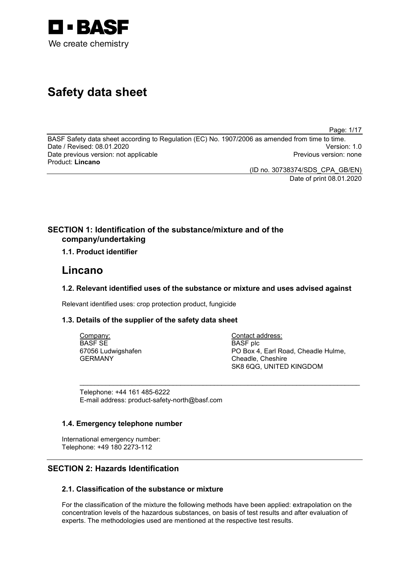

# **Safety data sheet**

Page: 1/17

BASF Safety data sheet according to Regulation (EC) No. 1907/2006 as amended from time to time. Date / Revised: 08.01.2020 Version: 1.0 Date previous version: not applicable Product: **Lincano**

(ID no. 30738374/SDS\_CPA\_GB/EN) Date of print 08.01.2020

## **SECTION 1: Identification of the substance/mixture and of the company/undertaking**

## **1.1. Product identifier**

## **Lincano**

## **1.2. Relevant identified uses of the substance or mixture and uses advised against**

\_\_\_\_\_\_\_\_\_\_\_\_\_\_\_\_\_\_\_\_\_\_\_\_\_\_\_\_\_\_\_\_\_\_\_\_\_\_\_\_\_\_\_\_\_\_\_\_\_\_\_\_\_\_\_\_\_\_\_\_\_\_\_\_\_\_\_\_\_\_\_\_\_\_\_

Relevant identified uses: crop protection product, fungicide

## **1.3. Details of the supplier of the safety data sheet**

Company: BASF SE 67056 Ludwigshafen GERMANY

Contact address: BASF plc PO Box 4, Earl Road, Cheadle Hulme, Cheadle, Cheshire SK8 6QG, UNITED KINGDOM

Telephone: +44 161 485-6222 E-mail address: product-safety-north@basf.com

## **1.4. Emergency telephone number**

International emergency number: Telephone: +49 180 2273-112

## **SECTION 2: Hazards Identification**

## **2.1. Classification of the substance or mixture**

For the classification of the mixture the following methods have been applied: extrapolation on the concentration levels of the hazardous substances, on basis of test results and after evaluation of experts. The methodologies used are mentioned at the respective test results.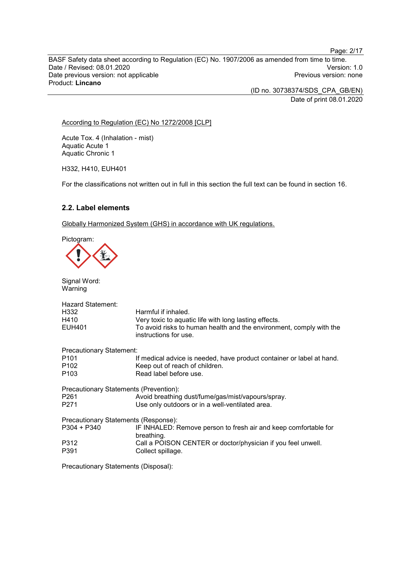BASF Safety data sheet according to Regulation (EC) No. 1907/2006 as amended from time to time. Date / Revised: 08.01.2020<br>Date previous version: not applicable  $\qquad$   $\qquad$   $\qquad$   $\qquad$  Previous version: none Date previous version: not applicable Product: **Lincano**

> (ID no. 30738374/SDS\_CPA\_GB/EN) Date of print 08.01.2020

According to Regulation (EC) No 1272/2008 [CLP]

Acute Tox. 4 (Inhalation - mist) Aquatic Acute 1 Aquatic Chronic 1

H332, H410, EUH401

For the classifications not written out in full in this section the full text can be found in section 16.

## **2.2. Label elements**

Globally Harmonized System (GHS) in accordance with UK regulations.

Pictogram:

Signal Word: Warning Hazard Statement:<br>H332 H<sub>332</sub> Harmful if inhaled.<br>H410 **Harmful if inhaled.** H410 Very toxic to aquatic life with long lasting effects.<br>EUH401 To avoid risks to human health and the environm To avoid risks to human health and the environment, comply with the instructions for use. Precautionary Statement:<br><sup>1</sup> P101 If medical advice is needed, have product container or label at hand.<br>P102 Seep out of reach of children. P102 Keep out of reach of children.<br>P103 Read label before use Read label before use. Precautionary Statements (Prevention): P261 Avoid breathing dust/fume/gas/mist/vapours/spray.<br>P271 Use only outdoors or in a well-ventilated area. Use only outdoors or in a well-ventilated area. Precautionary Statements (Response): P304 + P340 IF INHALED: Remove person to fresh air and keep comfortable for breathing. P312 Call a POISON CENTER or doctor/physician if you feel unwell. Collect spillage.

Precautionary Statements (Disposal):

Page: 2/17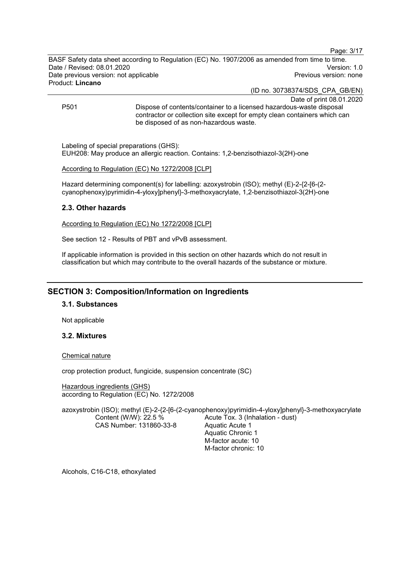Page: 3/17

BASF Safety data sheet according to Regulation (EC) No. 1907/2006 as amended from time to time. Date / Revised: 08.01.2020<br>Date previous version: not applicable  $\qquad$   $\qquad$   $\qquad$   $\qquad$  Previous version: none Date previous version: not applicable Product: **Lincano**

(ID no. 30738374/SDS\_CPA\_GB/EN)

Date of print 08.01.2020

P501 Dispose of contents/container to a licensed hazardous-waste disposal contractor or collection site except for empty clean containers which can be disposed of as non-hazardous waste.

Labeling of special preparations (GHS): EUH208: May produce an allergic reaction. Contains: 1,2-benzisothiazol-3(2H)-one

According to Regulation (EC) No 1272/2008 [CLP]

Hazard determining component(s) for labelling: azoxystrobin (ISO); methyl (E)-2-{2-[6-(2 cyanophenoxy)pyrimidin-4-yloxy]phenyl}-3-methoxyacrylate, 1,2-benzisothiazol-3(2H)-one

## **2.3. Other hazards**

According to Regulation (EC) No 1272/2008 [CLP]

See section 12 - Results of PBT and vPvB assessment.

If applicable information is provided in this section on other hazards which do not result in classification but which may contribute to the overall hazards of the substance or mixture.

## **SECTION 3: Composition/Information on Ingredients**

## **3.1. Substances**

Not applicable

#### **3.2. Mixtures**

#### Chemical nature

crop protection product, fungicide, suspension concentrate (SC)

Hazardous ingredients (GHS) according to Regulation (EC) No. 1272/2008

azoxystrobin (ISO); methyl (E)-2-{2-[6-(2-cyanophenoxy)pyrimidin-4-yloxy]phenyl}-3-methoxyacrylate Content (W/W): 22.5 % CAS Number: 131860-33-8 Acute Tox. 3 (Inhalation - dust) Aquatic Acute 1

Aquatic Chronic 1 M-factor acute: 10 M-factor chronic: 10

Alcohols, C16-C18, ethoxylated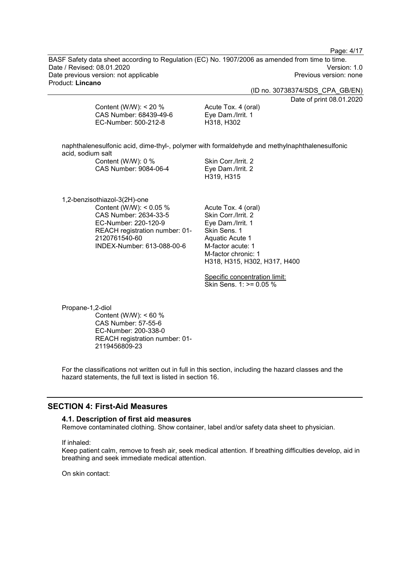Page: 4/17

BASF Safety data sheet according to Regulation (EC) No. 1907/2006 as amended from time to time. Date / Revised: 08.01.2020<br>
Date previous version: not applicable<br>
Date previous version: not applicable<br>
Date previous version: none Date previous version: not applicable Product: **Lincano**

(ID no. 30738374/SDS\_CPA\_GB/EN)

Date of print 08.01.2020

| Content (W/W): $<$ 20 % | Acute Tox. 4 (oral) |
|-------------------------|---------------------|
| CAS Number: 68439-49-6  | Eye Dam./Irrit. 1   |
| EC-Number: 500-212-8    | H318, H302          |

naphthalenesulfonic acid, dime-thyl-, polymer with formaldehyde and methylnaphthalenesulfonic acid, sodium salt

Content (W/W): 0 % CAS Number: 9084-06-4 Skin Corr./Irrit. 2 Eye Dam./Irrit. 2 H319, H315

1,2-benzisothiazol-3(2H)-one Content (W/W): < 0.05 % CAS Number: 2634-33-5 EC-Number: 220-120-9 REACH registration number: 01- 2120761540-60 INDEX-Number: 613-088-00-6

Acute Tox. 4 (oral) Skin Corr./Irrit. 2 Eye Dam./Irrit. 1 Skin Sens. 1 Aquatic Acute 1 M-factor acute: 1 M-factor chronic: 1 H318, H315, H302, H317, H400

Specific concentration limit: Skin Sens. 1: >= 0.05 %

Propane-1,2-diol Content (W/W): < 60 % CAS Number: 57-55-6 EC-Number: 200-338-0 REACH registration number: 01- 2119456809-23

For the classifications not written out in full in this section, including the hazard classes and the hazard statements, the full text is listed in section 16.

#### **SECTION 4: First-Aid Measures**

#### **4.1. Description of first aid measures**

Remove contaminated clothing. Show container, label and/or safety data sheet to physician.

If inhaled:

Keep patient calm, remove to fresh air, seek medical attention. If breathing difficulties develop, aid in breathing and seek immediate medical attention.

On skin contact: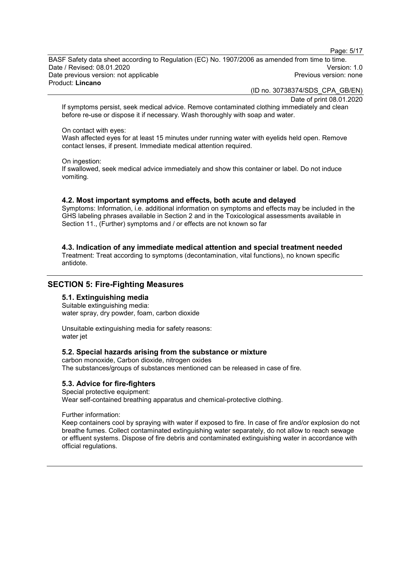Page: 5/17

BASF Safety data sheet according to Regulation (EC) No. 1907/2006 as amended from time to time. Date / Revised: 08.01.2020<br>Date previous version: not applicable  $\qquad$   $\qquad$   $\qquad$   $\qquad$  Previous version: none Date previous version: not applicable Product: **Lincano**

(ID no. 30738374/SDS\_CPA\_GB/EN)

Date of print 08.01.2020

If symptoms persist, seek medical advice. Remove contaminated clothing immediately and clean before re-use or dispose it if necessary. Wash thoroughly with soap and water.

#### On contact with eyes:

Wash affected eyes for at least 15 minutes under running water with eyelids held open. Remove contact lenses, if present. Immediate medical attention required.

#### On ingestion:

If swallowed, seek medical advice immediately and show this container or label. Do not induce vomiting.

#### **4.2. Most important symptoms and effects, both acute and delayed**

Symptoms: Information, i.e. additional information on symptoms and effects may be included in the GHS labeling phrases available in Section 2 and in the Toxicological assessments available in Section 11., (Further) symptoms and / or effects are not known so far

#### **4.3. Indication of any immediate medical attention and special treatment needed**

Treatment: Treat according to symptoms (decontamination, vital functions), no known specific antidote.

## **SECTION 5: Fire-Fighting Measures**

#### **5.1. Extinguishing media**

Suitable extinguishing media: water spray, dry powder, foam, carbon dioxide

Unsuitable extinguishing media for safety reasons: water jet

#### **5.2. Special hazards arising from the substance or mixture**

carbon monoxide, Carbon dioxide, nitrogen oxides The substances/groups of substances mentioned can be released in case of fire.

#### **5.3. Advice for fire-fighters**

Special protective equipment: Wear self-contained breathing apparatus and chemical-protective clothing.

Further information:

Keep containers cool by spraying with water if exposed to fire. In case of fire and/or explosion do not breathe fumes. Collect contaminated extinguishing water separately, do not allow to reach sewage or effluent systems. Dispose of fire debris and contaminated extinguishing water in accordance with official regulations.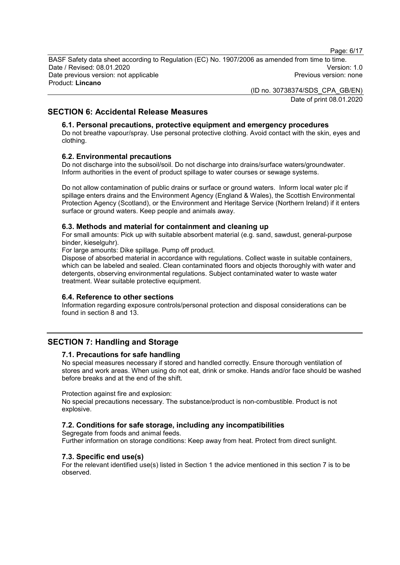Page: 6/17

BASF Safety data sheet according to Regulation (EC) No. 1907/2006 as amended from time to time. Date / Revised: 08.01.2020<br>Date previous version: not applicable  $\qquad$   $\qquad$   $\qquad$   $\qquad$  Previous version: none Date previous version: not applicable Product: **Lincano**

> (ID no. 30738374/SDS\_CPA\_GB/EN) Date of print 08.01.2020

## **SECTION 6: Accidental Release Measures**

#### **6.1. Personal precautions, protective equipment and emergency procedures**

Do not breathe vapour/spray. Use personal protective clothing. Avoid contact with the skin, eyes and clothing.

#### **6.2. Environmental precautions**

Do not discharge into the subsoil/soil. Do not discharge into drains/surface waters/groundwater. Inform authorities in the event of product spillage to water courses or sewage systems.

Do not allow contamination of public drains or surface or ground waters. Inform local water plc if spillage enters drains and the Environment Agency (England & Wales), the Scottish Environmental Protection Agency (Scotland), or the Environment and Heritage Service (Northern Ireland) if it enters surface or ground waters. Keep people and animals away.

#### **6.3. Methods and material for containment and cleaning up**

For small amounts: Pick up with suitable absorbent material (e.g. sand, sawdust, general-purpose binder, kieselguhr).

For large amounts: Dike spillage. Pump off product.

Dispose of absorbed material in accordance with regulations. Collect waste in suitable containers, which can be labeled and sealed. Clean contaminated floors and objects thoroughly with water and detergents, observing environmental regulations. Subject contaminated water to waste water treatment. Wear suitable protective equipment.

#### **6.4. Reference to other sections**

Information regarding exposure controls/personal protection and disposal considerations can be found in section 8 and 13.

## **SECTION 7: Handling and Storage**

#### **7.1. Precautions for safe handling**

No special measures necessary if stored and handled correctly. Ensure thorough ventilation of stores and work areas. When using do not eat, drink or smoke. Hands and/or face should be washed before breaks and at the end of the shift.

Protection against fire and explosion:

No special precautions necessary. The substance/product is non-combustible. Product is not explosive.

#### **7.2. Conditions for safe storage, including any incompatibilities**

Segregate from foods and animal feeds. Further information on storage conditions: Keep away from heat. Protect from direct sunlight.

#### **7.3. Specific end use(s)**

For the relevant identified use(s) listed in Section 1 the advice mentioned in this section 7 is to be observed.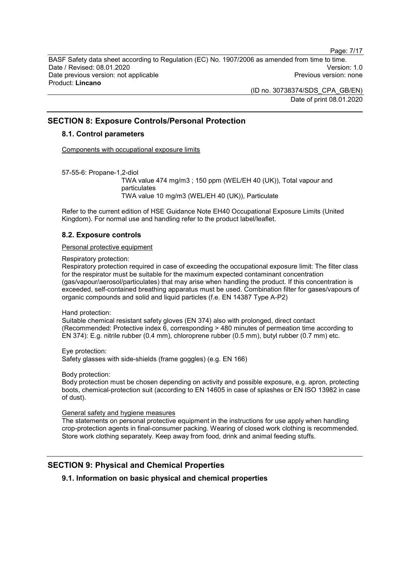Page: 7/17

BASF Safety data sheet according to Regulation (EC) No. 1907/2006 as amended from time to time. Date / Revised: 08.01.2020<br>Date previous version: not applicable  $\qquad$   $\qquad$   $\qquad$   $\qquad$  Previous version: none Date previous version: not applicable Product: **Lincano**

> (ID no. 30738374/SDS\_CPA\_GB/EN) Date of print 08.01.2020

## **SECTION 8: Exposure Controls/Personal Protection**

#### **8.1. Control parameters**

Components with occupational exposure limits

57-55-6: Propane-1,2-diol TWA value 474 mg/m3 ; 150 ppm (WEL/EH 40 (UK)), Total vapour and particulates TWA value 10 mg/m3 (WEL/EH 40 (UK)), Particulate

Refer to the current edition of HSE Guidance Note EH40 Occupational Exposure Limits (United Kingdom). For normal use and handling refer to the product label/leaflet.

#### **8.2. Exposure controls**

#### Personal protective equipment

#### Respiratory protection:

Respiratory protection required in case of exceeding the occupational exposure limit: The filter class for the respirator must be suitable for the maximum expected contaminant concentration (gas/vapour/aerosol/particulates) that may arise when handling the product. If this concentration is exceeded, self-contained breathing apparatus must be used. Combination filter for gases/vapours of organic compounds and solid and liquid particles (f.e. EN 14387 Type A-P2)

#### Hand protection:

Suitable chemical resistant safety gloves (EN 374) also with prolonged, direct contact (Recommended: Protective index 6, corresponding > 480 minutes of permeation time according to EN 374): E.g. nitrile rubber (0.4 mm), chloroprene rubber (0.5 mm), butyl rubber (0.7 mm) etc.

Eye protection:

Safety glasses with side-shields (frame goggles) (e.g. EN 166)

Body protection:

Body protection must be chosen depending on activity and possible exposure, e.g. apron, protecting boots, chemical-protection suit (according to EN 14605 in case of splashes or EN ISO 13982 in case of dust).

#### General safety and hygiene measures

The statements on personal protective equipment in the instructions for use apply when handling crop-protection agents in final-consumer packing. Wearing of closed work clothing is recommended. Store work clothing separately. Keep away from food, drink and animal feeding stuffs.

#### **SECTION 9: Physical and Chemical Properties**

#### **9.1. Information on basic physical and chemical properties**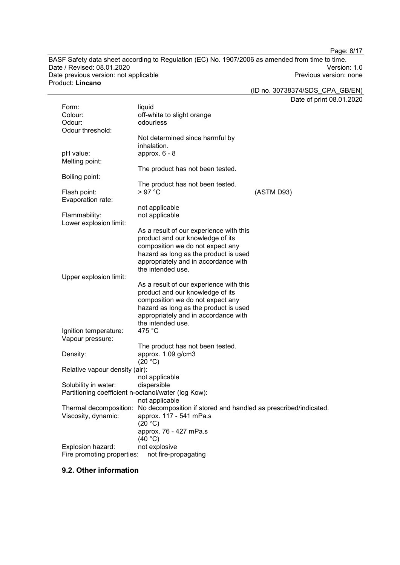Page: 8/17

BASF Safety data sheet according to Regulation (EC) No. 1907/2006 as amended from time to time.<br>Date / Revised: 08.01.2020 Date / Revised: 08.01.2020<br>
Date previous version: not applicable<br>
Date previous version: not applicable<br>
Date previous version: none Date previous version: not applicable Product: **Lincano**

(ID no. 30738374/SDS\_CPA\_GB/EN)

 $\overline{8.01.2020}$ 

|                                                     |                                                                 | Date of print 08 |
|-----------------------------------------------------|-----------------------------------------------------------------|------------------|
| Form:                                               | liquid                                                          |                  |
| Colour:                                             | off-white to slight orange                                      |                  |
| Odour:                                              | odourless                                                       |                  |
| Odour threshold:                                    |                                                                 |                  |
|                                                     | Not determined since harmful by                                 |                  |
|                                                     | inhalation.                                                     |                  |
| pH value:                                           | approx. $6 - 8$                                                 |                  |
| Melting point:                                      |                                                                 |                  |
|                                                     | The product has not been tested.                                |                  |
|                                                     |                                                                 |                  |
| Boiling point:                                      |                                                                 |                  |
|                                                     | The product has not been tested.                                |                  |
| Flash point:                                        | $>97^{\circ}$ C                                                 | (ASTM D93)       |
| Evaporation rate:                                   |                                                                 |                  |
|                                                     | not applicable                                                  |                  |
| Flammability:                                       | not applicable                                                  |                  |
| Lower explosion limit:                              |                                                                 |                  |
|                                                     | As a result of our experience with this                         |                  |
|                                                     | product and our knowledge of its                                |                  |
|                                                     | composition we do not expect any                                |                  |
|                                                     | hazard as long as the product is used                           |                  |
|                                                     | appropriately and in accordance with                            |                  |
|                                                     | the intended use.                                               |                  |
| Upper explosion limit:                              |                                                                 |                  |
|                                                     | As a result of our experience with this                         |                  |
|                                                     | product and our knowledge of its                                |                  |
|                                                     | composition we do not expect any                                |                  |
|                                                     | hazard as long as the product is used                           |                  |
|                                                     | appropriately and in accordance with                            |                  |
|                                                     | the intended use.                                               |                  |
|                                                     |                                                                 |                  |
| Ignition temperature:                               | 475 $^{\circ}$ C                                                |                  |
| Vapour pressure:                                    |                                                                 |                  |
|                                                     | The product has not been tested.                                |                  |
| Density:                                            | approx. 1.09 g/cm3                                              |                  |
|                                                     | (20 °C)                                                         |                  |
| Relative vapour density (air):                      |                                                                 |                  |
|                                                     | not applicable                                                  |                  |
| Solubility in water:                                | dispersible                                                     |                  |
| Partitioning coefficient n-octanol/water (log Kow): |                                                                 |                  |
|                                                     | not applicable                                                  |                  |
| Thermal decomposition:                              | No decomposition if stored and handled as prescribed/indicated. |                  |
| Viscosity, dynamic:                                 | approx. 117 - 541 mPa.s                                         |                  |
|                                                     | (20 °C)                                                         |                  |
|                                                     | approx. 76 - 427 mPa.s                                          |                  |
|                                                     | (40 °C)                                                         |                  |
| Explosion hazard:                                   | not explosive                                                   |                  |
| Fire promoting properties:                          | not fire-propagating                                            |                  |
|                                                     |                                                                 |                  |

## **9.2. Other information**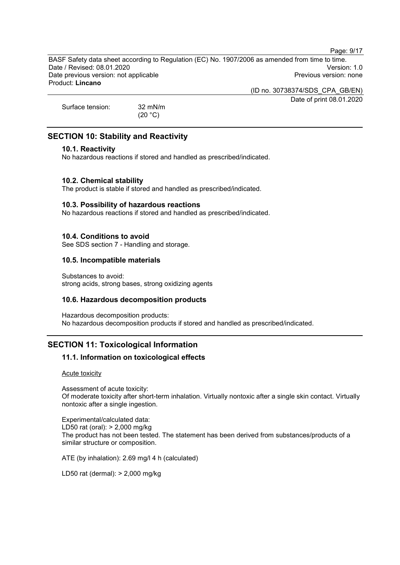Page: 9/17

BASF Safety data sheet according to Regulation (EC) No. 1907/2006 as amended from time to time. Date / Revised: 08.01.2020<br>Date previous version: not applicable  $\qquad$   $\qquad$   $\qquad$   $\qquad$  Previous version: none Date previous version: not applicable Product: **Lincano**

(ID no. 30738374/SDS\_CPA\_GB/EN)

Date of print 08.01.2020

Surface tension: 32 mN/m

 $(20 °C)$ 

## **SECTION 10: Stability and Reactivity**

## **10.1. Reactivity**

No hazardous reactions if stored and handled as prescribed/indicated.

## **10.2. Chemical stability**

The product is stable if stored and handled as prescribed/indicated.

## **10.3. Possibility of hazardous reactions**

No hazardous reactions if stored and handled as prescribed/indicated.

## **10.4. Conditions to avoid**

See SDS section 7 - Handling and storage.

## **10.5. Incompatible materials**

Substances to avoid: strong acids, strong bases, strong oxidizing agents

## **10.6. Hazardous decomposition products**

Hazardous decomposition products: No hazardous decomposition products if stored and handled as prescribed/indicated.

## **SECTION 11: Toxicological Information**

## **11.1. Information on toxicological effects**

**Acute toxicity** 

Assessment of acute toxicity: Of moderate toxicity after short-term inhalation. Virtually nontoxic after a single skin contact. Virtually nontoxic after a single ingestion.

Experimental/calculated data: LD50 rat (oral): > 2,000 mg/kg The product has not been tested. The statement has been derived from substances/products of a similar structure or composition.

ATE (by inhalation): 2.69 mg/l 4 h (calculated)

LD50 rat (dermal): > 2,000 mg/kg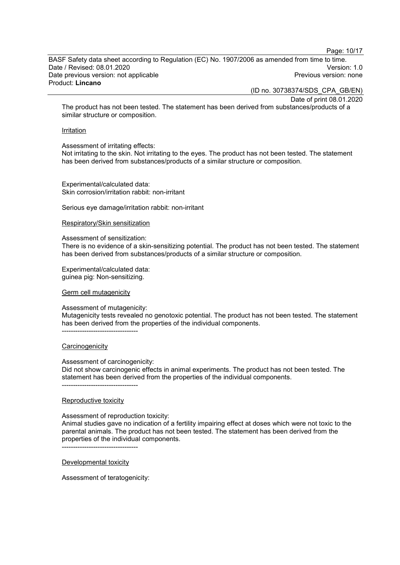Page: 10/17

BASF Safety data sheet according to Regulation (EC) No. 1907/2006 as amended from time to time. Date / Revised: 08.01.2020<br>Date previous version: not applicable  $\qquad$   $\qquad$   $\qquad$   $\qquad$  Previous version: none Date previous version: not applicable Product: **Lincano**

(ID no. 30738374/SDS\_CPA\_GB/EN)

Date of print 08.01.2020

The product has not been tested. The statement has been derived from substances/products of a similar structure or composition.

#### **Irritation**

Assessment of irritating effects:

Not irritating to the skin. Not irritating to the eyes. The product has not been tested. The statement has been derived from substances/products of a similar structure or composition.

Experimental/calculated data: Skin corrosion/irritation rabbit: non-irritant

Serious eye damage/irritation rabbit: non-irritant

Respiratory/Skin sensitization

Assessment of sensitization:

There is no evidence of a skin-sensitizing potential. The product has not been tested. The statement has been derived from substances/products of a similar structure or composition.

Experimental/calculated data: guinea pig: Non-sensitizing.

#### Germ cell mutagenicity

Assessment of mutagenicity:

----------------------------------

Mutagenicity tests revealed no genotoxic potential. The product has not been tested. The statement has been derived from the properties of the individual components.

**Carcinogenicity** 

Assessment of carcinogenicity:

Did not show carcinogenic effects in animal experiments. The product has not been tested. The statement has been derived from the properties of the individual components.

#### Reproductive toxicity

----------------------------------

Assessment of reproduction toxicity:

Animal studies gave no indication of a fertility impairing effect at doses which were not toxic to the parental animals. The product has not been tested. The statement has been derived from the properties of the individual components.

----------------------------------

Developmental toxicity

Assessment of teratogenicity: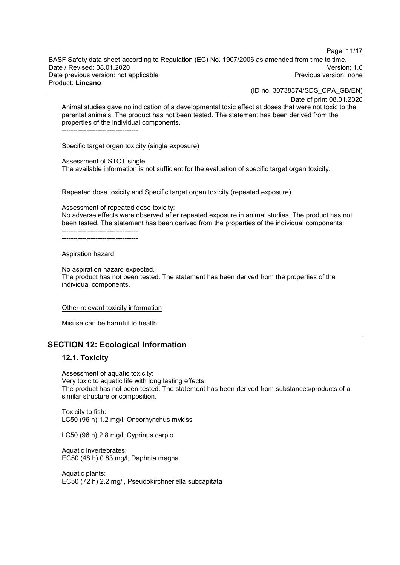Page: 11/17

BASF Safety data sheet according to Regulation (EC) No. 1907/2006 as amended from time to time. Date / Revised: 08.01.2020<br>Date previous version: not applicable  $\qquad$   $\qquad$   $\qquad$   $\qquad$  Previous version: none Date previous version: not applicable Product: **Lincano**

(ID no. 30738374/SDS\_CPA\_GB/EN)

Date of print 08.01.2020

Animal studies gave no indication of a developmental toxic effect at doses that were not toxic to the parental animals. The product has not been tested. The statement has been derived from the properties of the individual components.

----------------------------------

Specific target organ toxicity (single exposure)

Assessment of STOT single:

The available information is not sufficient for the evaluation of specific target organ toxicity.

#### Repeated dose toxicity and Specific target organ toxicity (repeated exposure)

Assessment of repeated dose toxicity:

No adverse effects were observed after repeated exposure in animal studies. The product has not been tested. The statement has been derived from the properties of the individual components.

---------------------------------- ----------------------------------

#### Aspiration hazard

No aspiration hazard expected.

The product has not been tested. The statement has been derived from the properties of the individual components.

Other relevant toxicity information

Misuse can be harmful to health.

## **SECTION 12: Ecological Information**

#### **12.1. Toxicity**

Assessment of aquatic toxicity: Very toxic to aquatic life with long lasting effects. The product has not been tested. The statement has been derived from substances/products of a similar structure or composition.

Toxicity to fish: LC50 (96 h) 1.2 mg/l, Oncorhynchus mykiss

LC50 (96 h) 2.8 mg/l, Cyprinus carpio

Aquatic invertebrates: EC50 (48 h) 0.83 mg/l, Daphnia magna

Aquatic plants: EC50 (72 h) 2.2 mg/l, Pseudokirchneriella subcapitata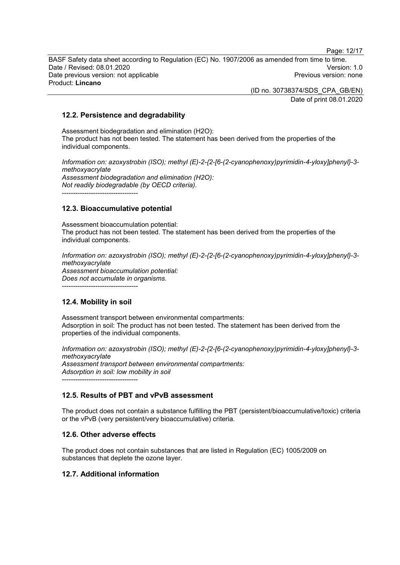Page: 12/17

BASF Safety data sheet according to Regulation (EC) No. 1907/2006 as amended from time to time. Date / Revised: 08.01.2020<br>Date previous version: not applicable  $\qquad$   $\qquad$   $\qquad$   $\qquad$  Previous version: none Date previous version: not applicable Product: **Lincano**

> (ID no. 30738374/SDS\_CPA\_GB/EN) Date of print 08.01.2020

## **12.2. Persistence and degradability**

Assessment biodegradation and elimination (H2O): The product has not been tested. The statement has been derived from the properties of the individual components.

*Information on: azoxystrobin (ISO); methyl (E)-2-{2-[6-(2-cyanophenoxy)pyrimidin-4-yloxy]phenyl}-3 methoxyacrylate Assessment biodegradation and elimination (H2O): Not readily biodegradable (by OECD criteria).* ----------------------------------

#### **12.3. Bioaccumulative potential**

Assessment bioaccumulation potential: The product has not been tested. The statement has been derived from the properties of the individual components.

*Information on: azoxystrobin (ISO); methyl (E)-2-{2-[6-(2-cyanophenoxy)pyrimidin-4-yloxy]phenyl}-3 methoxyacrylate Assessment bioaccumulation potential: Does not accumulate in organisms.* ----------------------------------

## **12.4. Mobility in soil**

Assessment transport between environmental compartments: Adsorption in soil: The product has not been tested. The statement has been derived from the properties of the individual components.

*Information on: azoxystrobin (ISO); methyl (E)-2-{2-[6-(2-cyanophenoxy)pyrimidin-4-yloxy]phenyl}-3 methoxyacrylate Assessment transport between environmental compartments: Adsorption in soil: low mobility in soil* ----------------------------------

## **12.5. Results of PBT and vPvB assessment**

The product does not contain a substance fulfilling the PBT (persistent/bioaccumulative/toxic) criteria or the vPvB (very persistent/very bioaccumulative) criteria.

#### **12.6. Other adverse effects**

The product does not contain substances that are listed in Regulation (EC) 1005/2009 on substances that deplete the ozone layer.

## **12.7. Additional information**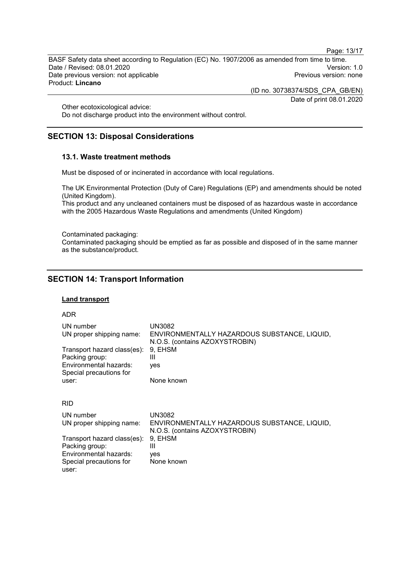Page: 13/17

BASF Safety data sheet according to Regulation (EC) No. 1907/2006 as amended from time to time. Date / Revised: 08.01.2020<br>
Date previous version: not applicable<br>
Date previous version: not applicable<br>
Date previous version: none Date previous version: not applicable Product: **Lincano**

(ID no. 30738374/SDS\_CPA\_GB/EN)

Date of print 08.01.2020

Other ecotoxicological advice:

Do not discharge product into the environment without control.

## **SECTION 13: Disposal Considerations**

## **13.1. Waste treatment methods**

Must be disposed of or incinerated in accordance with local regulations.

The UK Environmental Protection (Duty of Care) Regulations (EP) and amendments should be noted (United Kingdom).

This product and any uncleaned containers must be disposed of as hazardous waste in accordance with the 2005 Hazardous Waste Regulations and amendments (United Kingdom)

Contaminated packaging:

Contaminated packaging should be emptied as far as possible and disposed of in the same manner as the substance/product.

## **SECTION 14: Transport Information**

#### **Land transport**

#### ADR

| UN number<br>UN proper shipping name:<br>Transport hazard class(es):<br>Packing group:<br>Environmental hazards:<br>Special precautions for<br>user: | <b>UN3082</b><br>ENVIRONMENTALLY HAZARDOUS SUBSTANCE, LIQUID,<br>N.O.S. (contains AZOXYSTROBIN)<br>9. EHSM<br>Ш<br>yes<br>None known |
|------------------------------------------------------------------------------------------------------------------------------------------------------|--------------------------------------------------------------------------------------------------------------------------------------|
| <b>RID</b>                                                                                                                                           |                                                                                                                                      |
| UN number<br>UN proper shipping name:                                                                                                                | <b>UN3082</b><br>ENVIRONMENTALLY HAZARDOUS SUBSTANCE, LIQUID,<br>N.O.S. (contains AZOXYSTROBIN)                                      |

Transport hazard class(es): 9, EHSM Packing group: III Environmental hazards: yes Special precautions for user: None known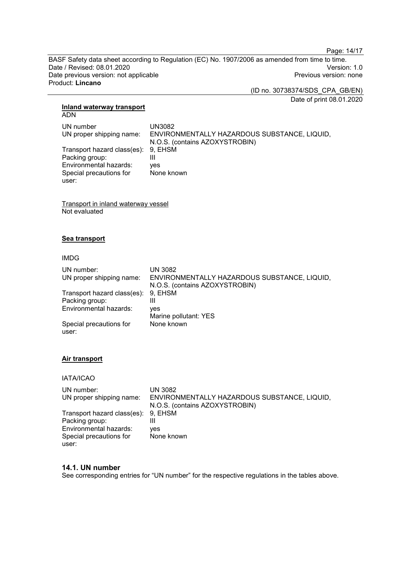Page: 14/17

BASF Safety data sheet according to Regulation (EC) No. 1907/2006 as amended from time to time. Date / Revised: 08.01.2020<br>
Date previous version: not applicable<br>
Date previous version: not applicable<br>
Date previous version: none Date previous version: not applicable Product: **Lincano**

(ID no. 30738374/SDS\_CPA\_GB/EN)

Date of print 08.01.2020

#### **Inland waterway transport** ADN

| UN number<br>UN proper shipping name: | UN3082<br>ENVIRONMENTALLY HAZARDOUS SUBSTANCE, LIQUID,<br>N.O.S. (contains AZOXYSTROBIN) |
|---------------------------------------|------------------------------------------------------------------------------------------|
| Transport hazard class(es): 9, EHSM   |                                                                                          |
| Packing group:                        | Ш                                                                                        |
| Environmental hazards:                | ves                                                                                      |
| Special precautions for               | None known                                                                               |
| user:                                 |                                                                                          |

Transport in inland waterway vessel Not evaluated

#### **Sea transport**

#### IMDG

| UN number:                          | UN 3082                                      |
|-------------------------------------|----------------------------------------------|
| UN proper shipping name:            | ENVIRONMENTALLY HAZARDOUS SUBSTANCE, LIQUID, |
|                                     | N.O.S. (contains AZOXYSTROBIN)               |
| Transport hazard class(es): 9, EHSM |                                              |
| Packing group:                      | Ш                                            |
| Environmental hazards:              | ves                                          |
|                                     | Marine pollutant: YES                        |
| Special precautions for             | None known                                   |
| user:                               |                                              |

#### **Air transport**

IATA/ICAO

| UN number:                          | UN 3082                                      |
|-------------------------------------|----------------------------------------------|
| UN proper shipping name:            | ENVIRONMENTALLY HAZARDOUS SUBSTANCE, LIQUID, |
|                                     | N.O.S. (contains AZOXYSTROBIN)               |
| Transport hazard class(es): 9, EHSM |                                              |
| Packing group:                      |                                              |
| Environmental hazards:              | ves                                          |
| Special precautions for             | None known                                   |
| user:                               |                                              |

## **14.1. UN number**

See corresponding entries for "UN number" for the respective regulations in the tables above.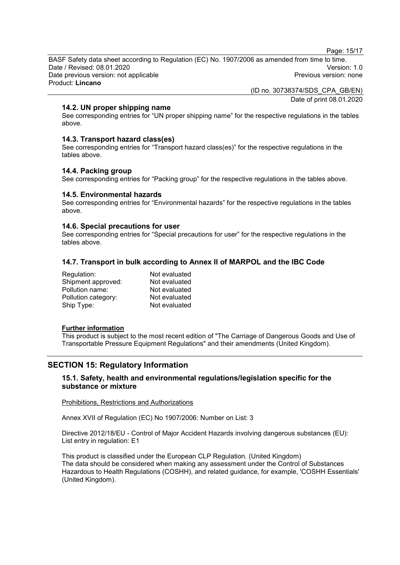Page: 15/17

BASF Safety data sheet according to Regulation (EC) No. 1907/2006 as amended from time to time. Date / Revised: 08.01.2020<br>Date previous version: not applicable  $\qquad$   $\qquad$   $\qquad$   $\qquad$  Previous version: none Date previous version: not applicable Product: **Lincano**

> (ID no. 30738374/SDS\_CPA\_GB/EN) Date of print 08.01.2020

**14.2. UN proper shipping name**

See corresponding entries for "UN proper shipping name" for the respective regulations in the tables above.

#### **14.3. Transport hazard class(es)**

See corresponding entries for "Transport hazard class(es)" for the respective regulations in the tables above.

#### **14.4. Packing group**

See corresponding entries for "Packing group" for the respective regulations in the tables above.

#### **14.5. Environmental hazards**

See corresponding entries for "Environmental hazards" for the respective regulations in the tables above.

#### **14.6. Special precautions for user**

See corresponding entries for "Special precautions for user" for the respective regulations in the tables above.

#### **14.7. Transport in bulk according to Annex II of MARPOL and the IBC Code**

| Regulation:         | Not evaluated |
|---------------------|---------------|
| Shipment approved:  | Not evaluated |
| Pollution name:     | Not evaluated |
| Pollution category: | Not evaluated |
| Ship Type:          | Not evaluated |

#### **Further information**

This product is subject to the most recent edition of "The Carriage of Dangerous Goods and Use of Transportable Pressure Equipment Regulations" and their amendments (United Kingdom).

#### **SECTION 15: Regulatory Information**

## **15.1. Safety, health and environmental regulations/legislation specific for the substance or mixture**

Prohibitions, Restrictions and Authorizations

Annex XVII of Regulation (EC) No 1907/2006: Number on List: 3

Directive 2012/18/EU - Control of Major Accident Hazards involving dangerous substances (EU): List entry in regulation: E1

This product is classified under the European CLP Regulation. (United Kingdom) The data should be considered when making any assessment under the Control of Substances Hazardous to Health Regulations (COSHH), and related guidance, for example, 'COSHH Essentials' (United Kingdom).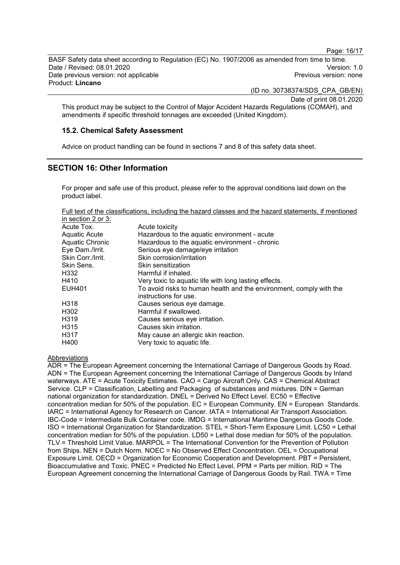Page: 16/17

BASF Safety data sheet according to Regulation (EC) No. 1907/2006 as amended from time to time. Date / Revised: 08.01.2020<br>Date previous version: not applicable  $\qquad$  and  $\qquad$   $\qquad$  Previous version: none Date previous version: not applicable Product: **Lincano**

(ID no. 30738374/SDS\_CPA\_GB/EN)

Date of print 08.01.2020

This product may be subject to the Control of Major Accident Hazards Regulations (COMAH), and amendments if specific threshold tonnages are exceeded (United Kingdom).

#### **15.2. Chemical Safety Assessment**

Advice on product handling can be found in sections 7 and 8 of this safety data sheet.

## **SECTION 16: Other Information**

For proper and safe use of this product, please refer to the approval conditions laid down on the product label.

Full text of the classifications, including the hazard classes and the hazard statements, if mentioned in section 2 or 3:

| Acute Tox.        | Acute toxicity                                                      |
|-------------------|---------------------------------------------------------------------|
| Aquatic Acute     | Hazardous to the aquatic environment - acute                        |
| Aquatic Chronic   | Hazardous to the aquatic environment - chronic                      |
| Eye Dam./Irrit.   | Serious eye damage/eye irritation                                   |
| Skin Corr./Irrit. | Skin corrosion/irritation                                           |
| Skin Sens.        | Skin sensitization                                                  |
| H332              | Harmful if inhaled.                                                 |
| H410              | Very toxic to aquatic life with long lasting effects.               |
| <b>EUH401</b>     | To avoid risks to human health and the environment, comply with the |
|                   | instructions for use.                                               |
| H318              | Causes serious eye damage.                                          |
| H302              | Harmful if swallowed.                                               |
| H319              | Causes serious eye irritation.                                      |
| H315              | Causes skin irritation.                                             |
| H317              | May cause an allergic skin reaction.                                |
| H400              | Very toxic to aquatic life.                                         |
|                   |                                                                     |

**Abbreviations** 

ADR = The European Agreement concerning the International Carriage of Dangerous Goods by Road. ADN = The European Agreement concerning the International Carriage of Dangerous Goods by Inland waterways. ATE = Acute Toxicity Estimates. CAO = Cargo Aircraft Only. CAS = Chemical Abstract Service. CLP = Classification, Labelling and Packaging of substances and mixtures. DIN = German national organization for standardization. DNEL = Derived No Effect Level. EC50 = Effective concentration median for 50% of the population. EC = European Community. EN = European Standards. IARC = International Agency for Research on Cancer. IATA = International Air Transport Association. IBC-Code = Intermediate Bulk Container code. IMDG = International Maritime Dangerous Goods Code. ISO = International Organization for Standardization. STEL = Short-Term Exposure Limit. LC50 = Lethal concentration median for 50% of the population. LD50 = Lethal dose median for 50% of the population. TLV = Threshold Limit Value. MARPOL = The International Convention for the Prevention of Pollution from Ships. NEN = Dutch Norm. NOEC = No Observed Effect Concentration. OEL = Occupational Exposure Limit. OECD = Organization for Economic Cooperation and Development. PBT = Persistent, Bioaccumulative and Toxic. PNEC = Predicted No Effect Level. PPM = Parts per million. RID = The European Agreement concerning the International Carriage of Dangerous Goods by Rail. TWA = Time